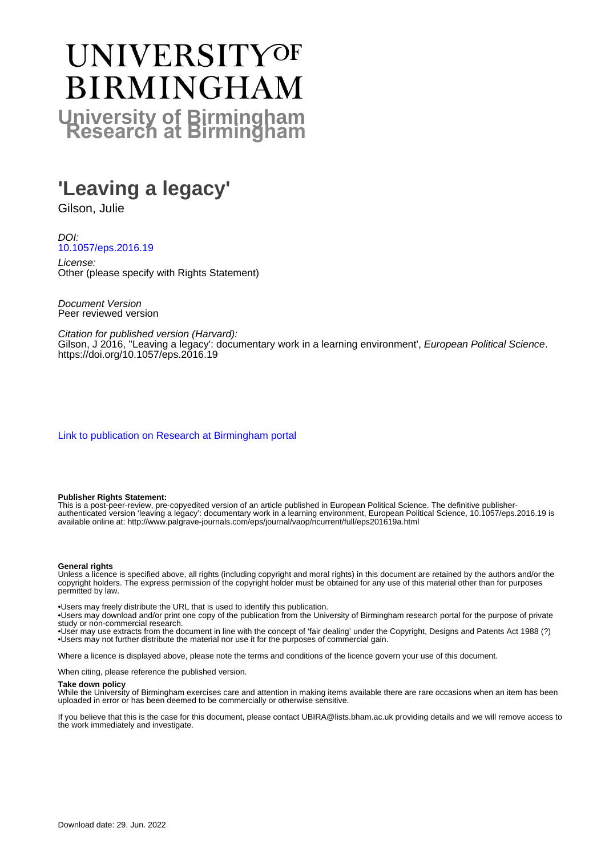# UNIVERSITYOF **BIRMINGHAM University of Birmingham**

# **'Leaving a legacy'**

Gilson, Julie

DOI: [10.1057/eps.2016.19](https://doi.org/10.1057/eps.2016.19)

License: Other (please specify with Rights Statement)

Document Version Peer reviewed version

Citation for published version (Harvard): Gilson, J 2016, "Leaving a legacy': documentary work in a learning environment', European Political Science. <https://doi.org/10.1057/eps.2016.19>

[Link to publication on Research at Birmingham portal](https://birmingham.elsevierpure.com/en/publications/2bc125fa-ac73-4c11-b26a-33b0536e5810)

#### **Publisher Rights Statement:**

This is a post-peer-review, pre-copyedited version of an article published in European Political Science. The definitive publisherauthenticated version 'leaving a legacy': documentary work in a learning environment, European Political Science, 10.1057/eps.2016.19 is available online at: http://www.palgrave-journals.com/eps/journal/vaop/ncurrent/full/eps201619a.html

#### **General rights**

Unless a licence is specified above, all rights (including copyright and moral rights) in this document are retained by the authors and/or the copyright holders. The express permission of the copyright holder must be obtained for any use of this material other than for purposes permitted by law.

• Users may freely distribute the URL that is used to identify this publication.

• Users may download and/or print one copy of the publication from the University of Birmingham research portal for the purpose of private study or non-commercial research.

• User may use extracts from the document in line with the concept of 'fair dealing' under the Copyright, Designs and Patents Act 1988 (?) • Users may not further distribute the material nor use it for the purposes of commercial gain.

Where a licence is displayed above, please note the terms and conditions of the licence govern your use of this document.

When citing, please reference the published version.

#### **Take down policy**

While the University of Birmingham exercises care and attention in making items available there are rare occasions when an item has been uploaded in error or has been deemed to be commercially or otherwise sensitive.

If you believe that this is the case for this document, please contact UBIRA@lists.bham.ac.uk providing details and we will remove access to the work immediately and investigate.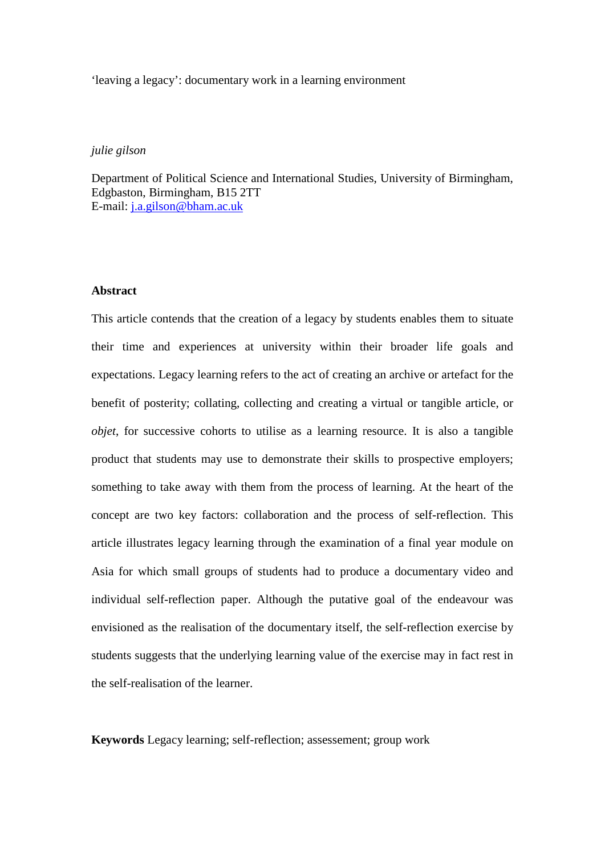'leaving a legacy': documentary work in a learning environment

# *julie gilson*

Department of Political Science and International Studies, University of Birmingham, Edgbaston, Birmingham, B15 2TT E-mail: [j.a.gilson@bham.ac.uk](mailto:j.a.gilson@bham.ac.uk)

#### **Abstract**

This article contends that the creation of a legacy by students enables them to situate their time and experiences at university within their broader life goals and expectations. Legacy learning refers to the act of creating an archive or artefact for the benefit of posterity; collating, collecting and creating a virtual or tangible article, or *objet*, for successive cohorts to utilise as a learning resource. It is also a tangible product that students may use to demonstrate their skills to prospective employers; something to take away with them from the process of learning. At the heart of the concept are two key factors: collaboration and the process of self-reflection. This article illustrates legacy learning through the examination of a final year module on Asia for which small groups of students had to produce a documentary video and individual self-reflection paper. Although the putative goal of the endeavour was envisioned as the realisation of the documentary itself, the self-reflection exercise by students suggests that the underlying learning value of the exercise may in fact rest in the self-realisation of the learner.

**Keywords** Legacy learning; self-reflection; assessement; group work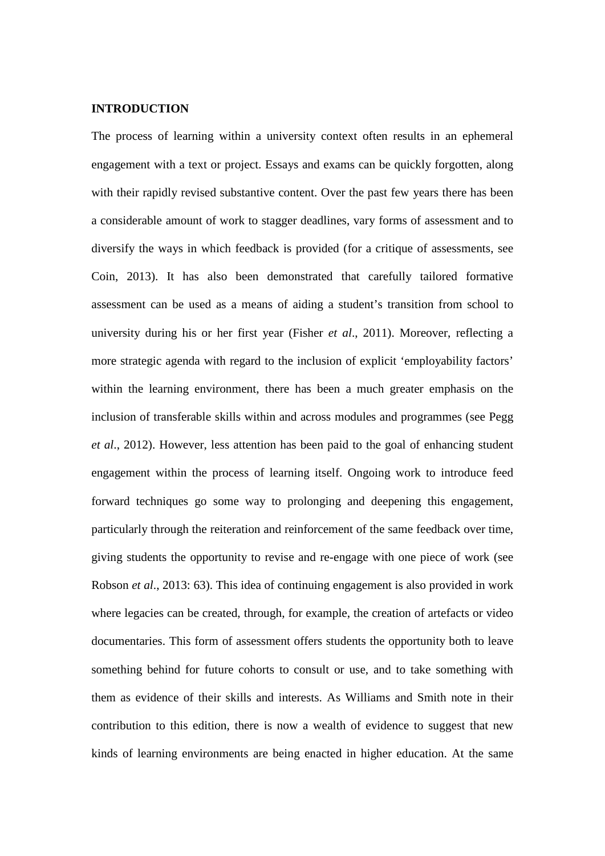#### **INTRODUCTION**

The process of learning within a university context often results in an ephemeral engagement with a text or project. Essays and exams can be quickly forgotten, along with their rapidly revised substantive content. Over the past few years there has been a considerable amount of work to stagger deadlines, vary forms of assessment and to diversify the ways in which feedback is provided (for a critique of assessments, see Coin, 2013). It has also been demonstrated that carefully tailored formative assessment can be used as a means of aiding a student's transition from school to university during his or her first year (Fisher *et al*., 2011). Moreover, reflecting a more strategic agenda with regard to the inclusion of explicit 'employability factors' within the learning environment, there has been a much greater emphasis on the inclusion of transferable skills within and across modules and programmes (see Pegg *et al*., 2012). However, less attention has been paid to the goal of enhancing student engagement within the process of learning itself. Ongoing work to introduce feed forward techniques go some way to prolonging and deepening this engagement, particularly through the reiteration and reinforcement of the same feedback over time, giving students the opportunity to revise and re-engage with one piece of work (see Robson *et al*., 2013: 63). This idea of continuing engagement is also provided in work where legacies can be created, through, for example, the creation of artefacts or video documentaries. This form of assessment offers students the opportunity both to leave something behind for future cohorts to consult or use, and to take something with them as evidence of their skills and interests. As Williams and Smith note in their contribution to this edition, there is now a wealth of evidence to suggest that new kinds of learning environments are being enacted in higher education. At the same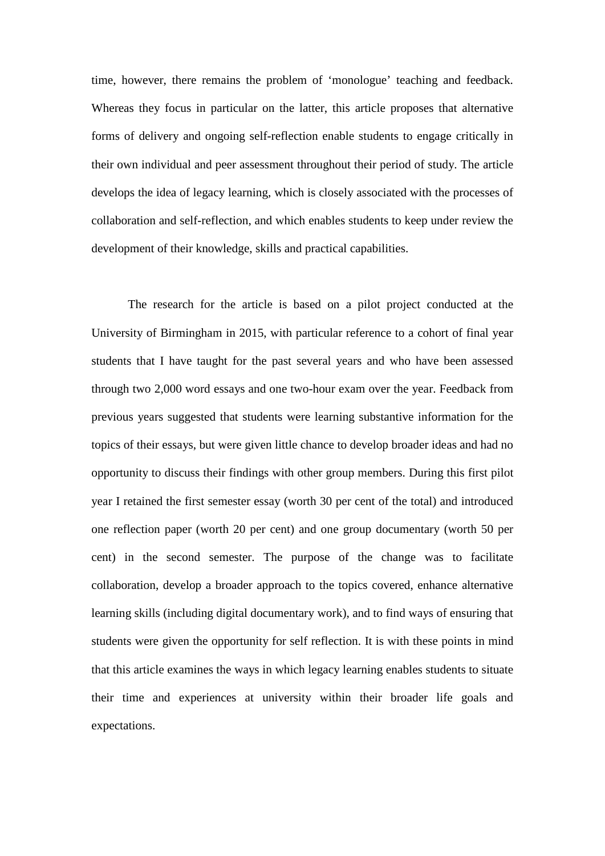time, however, there remains the problem of 'monologue' teaching and feedback. Whereas they focus in particular on the latter, this article proposes that alternative forms of delivery and ongoing self-reflection enable students to engage critically in their own individual and peer assessment throughout their period of study. The article develops the idea of legacy learning, which is closely associated with the processes of collaboration and self-reflection, and which enables students to keep under review the development of their knowledge, skills and practical capabilities.

The research for the article is based on a pilot project conducted at the University of Birmingham in 2015, with particular reference to a cohort of final year students that I have taught for the past several years and who have been assessed through two 2,000 word essays and one two-hour exam over the year. Feedback from previous years suggested that students were learning substantive information for the topics of their essays, but were given little chance to develop broader ideas and had no opportunity to discuss their findings with other group members. During this first pilot year I retained the first semester essay (worth 30 per cent of the total) and introduced one reflection paper (worth 20 per cent) and one group documentary (worth 50 per cent) in the second semester. The purpose of the change was to facilitate collaboration, develop a broader approach to the topics covered, enhance alternative learning skills (including digital documentary work), and to find ways of ensuring that students were given the opportunity for self reflection. It is with these points in mind that this article examines the ways in which legacy learning enables students to situate their time and experiences at university within their broader life goals and expectations.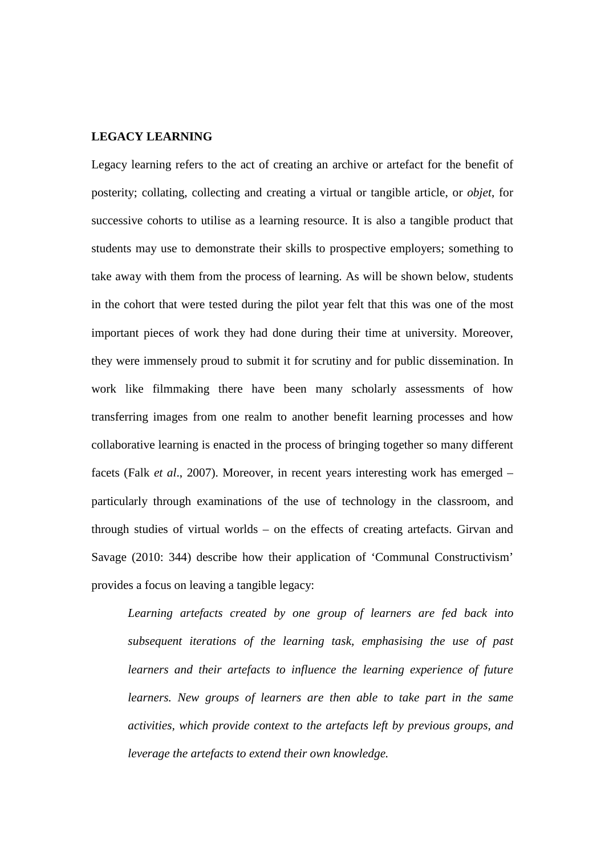#### **LEGACY LEARNING**

Legacy learning refers to the act of creating an archive or artefact for the benefit of posterity; collating, collecting and creating a virtual or tangible article, or *objet*, for successive cohorts to utilise as a learning resource. It is also a tangible product that students may use to demonstrate their skills to prospective employers; something to take away with them from the process of learning. As will be shown below, students in the cohort that were tested during the pilot year felt that this was one of the most important pieces of work they had done during their time at university. Moreover, they were immensely proud to submit it for scrutiny and for public dissemination. In work like filmmaking there have been many scholarly assessments of how transferring images from one realm to another benefit learning processes and how collaborative learning is enacted in the process of bringing together so many different facets (Falk *et al*., 2007). Moreover, in recent years interesting work has emerged – particularly through examinations of the use of technology in the classroom, and through studies of virtual worlds – on the effects of creating artefacts. Girvan and Savage (2010: 344) describe how their application of 'Communal Constructivism' provides a focus on leaving a tangible legacy:

*Learning artefacts created by one group of learners are fed back into subsequent iterations of the learning task, emphasising the use of past learners and their artefacts to influence the learning experience of future learners. New groups of learners are then able to take part in the same activities, which provide context to the artefacts left by previous groups, and leverage the artefacts to extend their own knowledge.*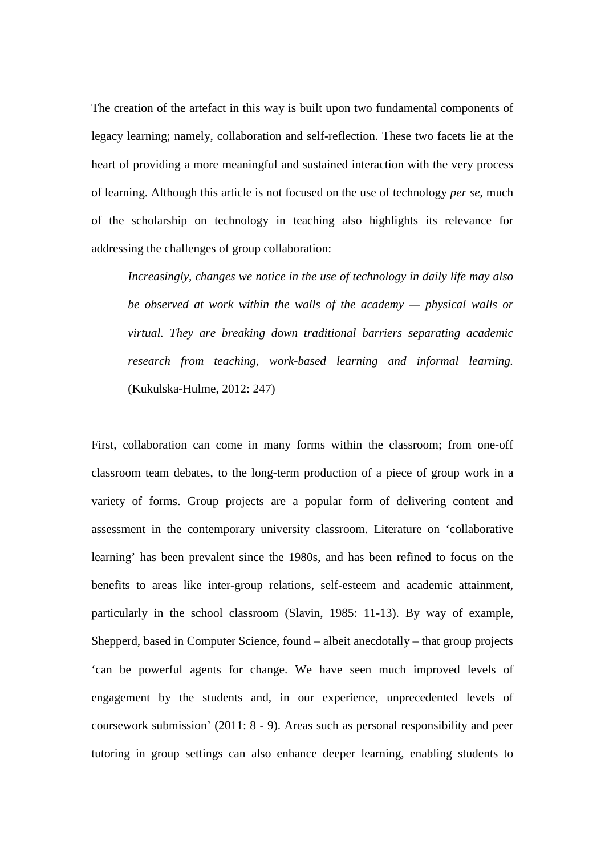The creation of the artefact in this way is built upon two fundamental components of legacy learning; namely, collaboration and self-reflection. These two facets lie at the heart of providing a more meaningful and sustained interaction with the very process of learning. Although this article is not focused on the use of technology *per se*, much of the scholarship on technology in teaching also highlights its relevance for addressing the challenges of group collaboration:

*Increasingly, changes we notice in the use of technology in daily life may also be observed at work within the walls of the academy — physical walls or virtual. They are breaking down traditional barriers separating academic research from teaching, work-based learning and informal learning.* (Kukulska-Hulme, 2012: 247)

First, collaboration can come in many forms within the classroom; from one-off classroom team debates, to the long-term production of a piece of group work in a variety of forms. Group projects are a popular form of delivering content and assessment in the contemporary university classroom. Literature on 'collaborative learning' has been prevalent since the 1980s, and has been refined to focus on the benefits to areas like inter-group relations, self-esteem and academic attainment, particularly in the school classroom (Slavin, 1985: 11-13). By way of example, Shepperd, based in Computer Science, found – albeit anecdotally – that group projects 'can be powerful agents for change. We have seen much improved levels of engagement by the students and, in our experience, unprecedented levels of coursework submission' (2011: 8 - 9). Areas such as personal responsibility and peer tutoring in group settings can also enhance deeper learning, enabling students to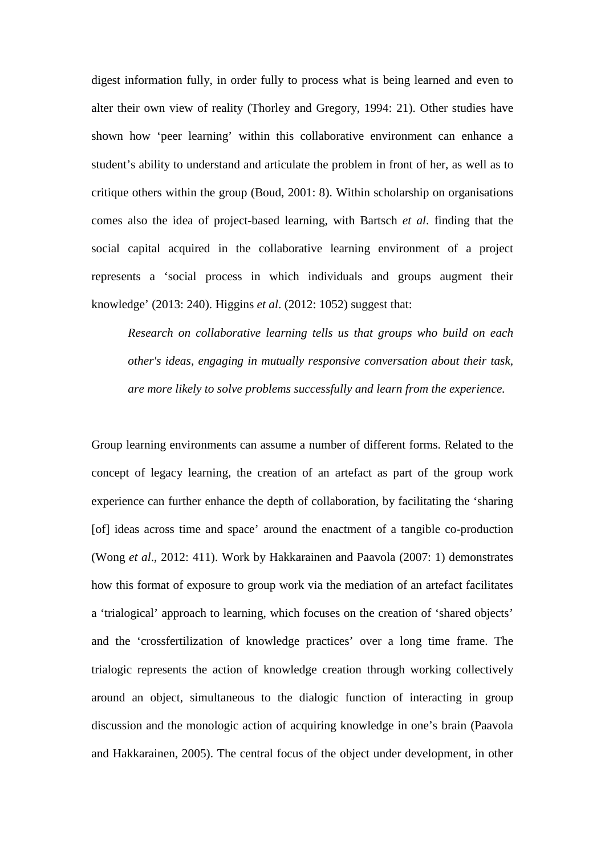digest information fully, in order fully to process what is being learned and even to alter their own view of reality (Thorley and Gregory, 1994: 21). Other studies have shown how 'peer learning' within this collaborative environment can enhance a student's ability to understand and articulate the problem in front of her, as well as to critique others within the group (Boud, 2001: 8). Within scholarship on organisations comes also the idea of project-based learning, with Bartsch *et al*. finding that the social capital acquired in the collaborative learning environment of a project represents a 'social process in which individuals and groups augment their knowledge' (2013: 240). Higgins *et al*. (2012: 1052) suggest that:

*Research on collaborative learning tells us that groups who build on each other's ideas, engaging in mutually responsive conversation about their task, are more likely to solve problems successfully and learn from the experience.*

Group learning environments can assume a number of different forms. Related to the concept of legacy learning, the creation of an artefact as part of the group work experience can further enhance the depth of collaboration, by facilitating the 'sharing [of] ideas across time and space' around the enactment of a tangible co-production (Wong *et al*., 2012: 411). Work by Hakkarainen and Paavola (2007: 1) demonstrates how this format of exposure to group work via the mediation of an artefact facilitates a 'trialogical' approach to learning, which focuses on the creation of 'shared objects' and the 'crossfertilization of knowledge practices' over a long time frame. The trialogic represents the action of knowledge creation through working collectively around an object, simultaneous to the dialogic function of interacting in group discussion and the monologic action of acquiring knowledge in one's brain (Paavola and Hakkarainen, 2005). The central focus of the object under development, in other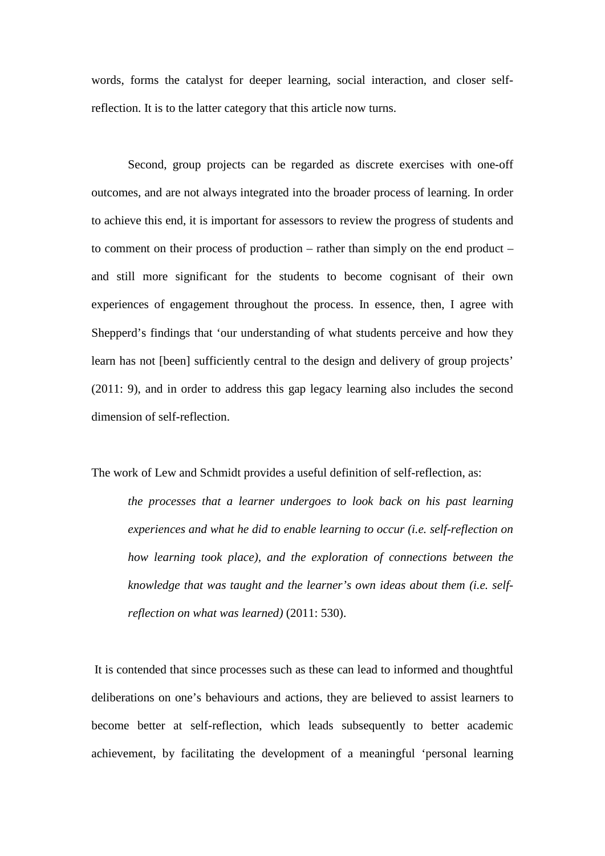words, forms the catalyst for deeper learning, social interaction, and closer selfreflection. It is to the latter category that this article now turns.

Second, group projects can be regarded as discrete exercises with one-off outcomes, and are not always integrated into the broader process of learning. In order to achieve this end, it is important for assessors to review the progress of students and to comment on their process of production – rather than simply on the end product – and still more significant for the students to become cognisant of their own experiences of engagement throughout the process. In essence, then, I agree with Shepperd's findings that 'our understanding of what students perceive and how they learn has not [been] sufficiently central to the design and delivery of group projects' (2011: 9), and in order to address this gap legacy learning also includes the second dimension of self-reflection.

The work of Lew and Schmidt provides a useful definition of self-reflection, as:

*the processes that a learner undergoes to look back on his past learning experiences and what he did to enable learning to occur (i.e. self-reflection on how learning took place), and the exploration of connections between the knowledge that was taught and the learner's own ideas about them (i.e. selfreflection on what was learned)* (2011: 530).

It is contended that since processes such as these can lead to informed and thoughtful deliberations on one's behaviours and actions, they are believed to assist learners to become better at self-reflection, which leads subsequently to better academic achievement, by facilitating the development of a meaningful 'personal learning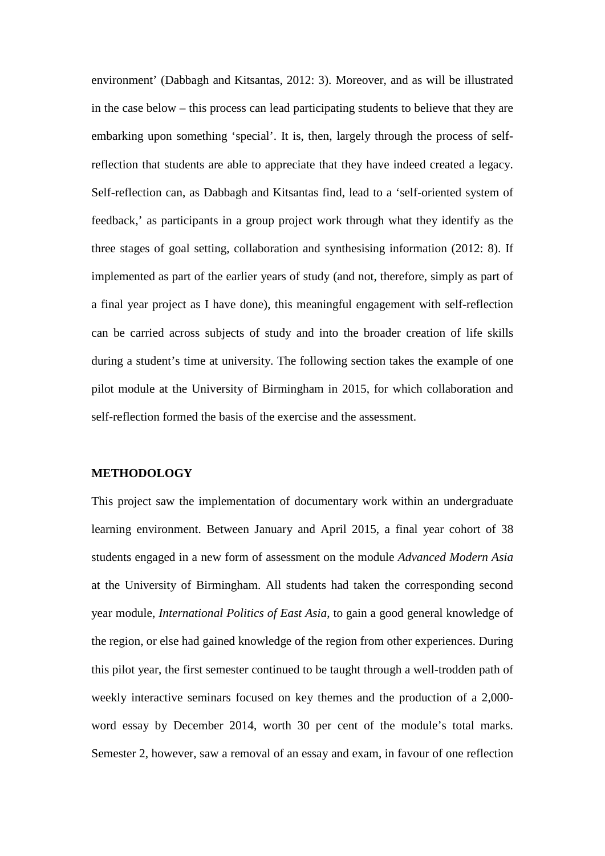environment' (Dabbagh and Kitsantas, 2012: 3). Moreover, and as will be illustrated in the case below – this process can lead participating students to believe that they are embarking upon something 'special'. It is, then, largely through the process of selfreflection that students are able to appreciate that they have indeed created a legacy. Self-reflection can, as Dabbagh and Kitsantas find, lead to a 'self-oriented system of feedback,' as participants in a group project work through what they identify as the three stages of goal setting, collaboration and synthesising information (2012: 8). If implemented as part of the earlier years of study (and not, therefore, simply as part of a final year project as I have done), this meaningful engagement with self-reflection can be carried across subjects of study and into the broader creation of life skills during a student's time at university. The following section takes the example of one pilot module at the University of Birmingham in 2015, for which collaboration and self-reflection formed the basis of the exercise and the assessment.

#### **METHODOLOGY**

This project saw the implementation of documentary work within an undergraduate learning environment. Between January and April 2015, a final year cohort of 38 students engaged in a new form of assessment on the module *Advanced Modern Asia* at the University of Birmingham. All students had taken the corresponding second year module, *International Politics of East Asia*, to gain a good general knowledge of the region, or else had gained knowledge of the region from other experiences. During this pilot year, the first semester continued to be taught through a well-trodden path of weekly interactive seminars focused on key themes and the production of a 2,000 word essay by December 2014, worth 30 per cent of the module's total marks. Semester 2, however, saw a removal of an essay and exam, in favour of one reflection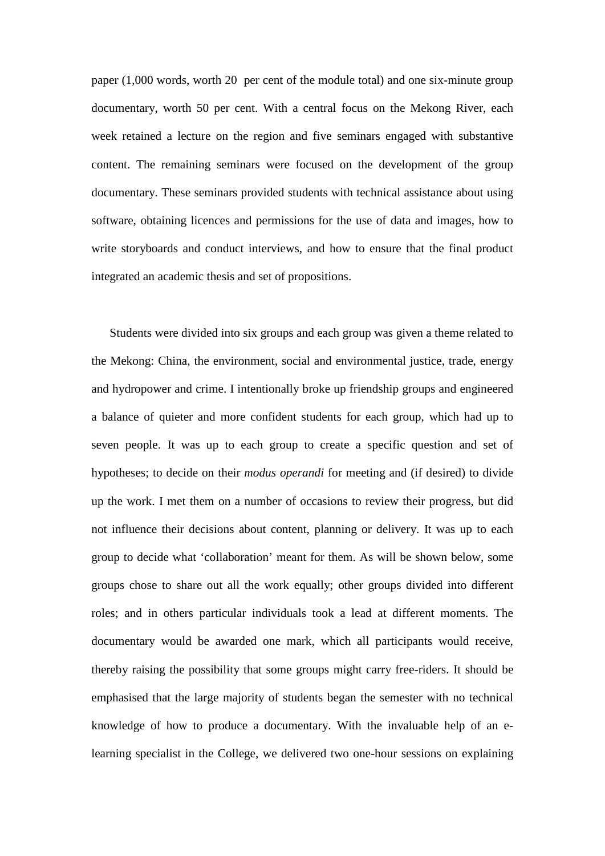paper (1,000 words, worth 20 per cent of the module total) and one six-minute group documentary, worth 50 per cent. With a central focus on the Mekong River, each week retained a lecture on the region and five seminars engaged with substantive content. The remaining seminars were focused on the development of the group documentary. These seminars provided students with technical assistance about using software, obtaining licences and permissions for the use of data and images, how to write storyboards and conduct interviews, and how to ensure that the final product integrated an academic thesis and set of propositions.

Students were divided into six groups and each group was given a theme related to the Mekong: China, the environment, social and environmental justice, trade, energy and hydropower and crime. I intentionally broke up friendship groups and engineered a balance of quieter and more confident students for each group, which had up to seven people. It was up to each group to create a specific question and set of hypotheses; to decide on their *modus operandi* for meeting and (if desired) to divide up the work. I met them on a number of occasions to review their progress, but did not influence their decisions about content, planning or delivery. It was up to each group to decide what 'collaboration' meant for them. As will be shown below, some groups chose to share out all the work equally; other groups divided into different roles; and in others particular individuals took a lead at different moments. The documentary would be awarded one mark, which all participants would receive, thereby raising the possibility that some groups might carry free-riders. It should be emphasised that the large majority of students began the semester with no technical knowledge of how to produce a documentary. With the invaluable help of an elearning specialist in the College, we delivered two one-hour sessions on explaining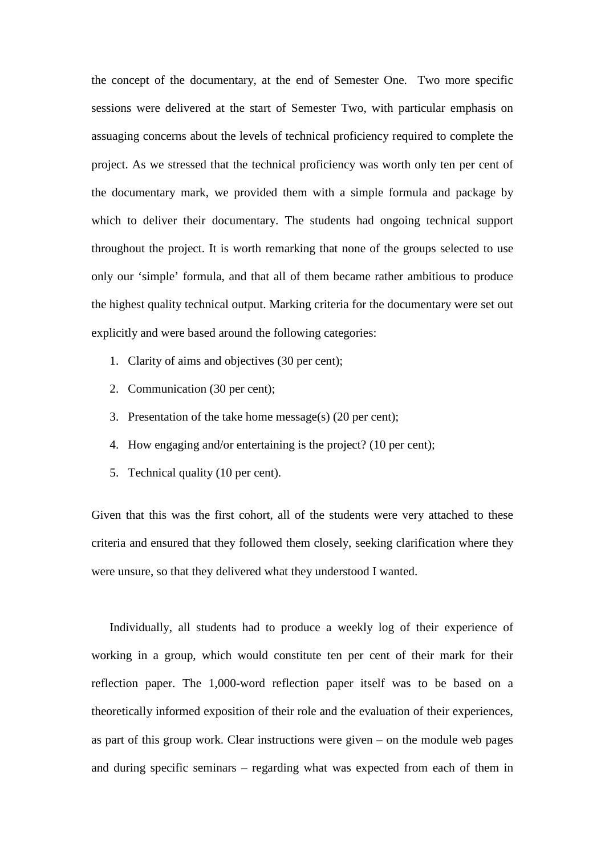the concept of the documentary, at the end of Semester One. Two more specific sessions were delivered at the start of Semester Two, with particular emphasis on assuaging concerns about the levels of technical proficiency required to complete the project. As we stressed that the technical proficiency was worth only ten per cent of the documentary mark, we provided them with a simple formula and package by which to deliver their documentary. The students had ongoing technical support throughout the project. It is worth remarking that none of the groups selected to use only our 'simple' formula, and that all of them became rather ambitious to produce the highest quality technical output. Marking criteria for the documentary were set out explicitly and were based around the following categories:

- 1. Clarity of aims and objectives (30 per cent);
- 2. Communication (30 per cent);
- 3. Presentation of the take home message(s) (20 per cent);
- 4. How engaging and/or entertaining is the project? (10 per cent);
- 5. Technical quality (10 per cent).

Given that this was the first cohort, all of the students were very attached to these criteria and ensured that they followed them closely, seeking clarification where they were unsure, so that they delivered what they understood I wanted.

Individually, all students had to produce a weekly log of their experience of working in a group, which would constitute ten per cent of their mark for their reflection paper. The 1,000-word reflection paper itself was to be based on a theoretically informed exposition of their role and the evaluation of their experiences, as part of this group work. Clear instructions were given – on the module web pages and during specific seminars – regarding what was expected from each of them in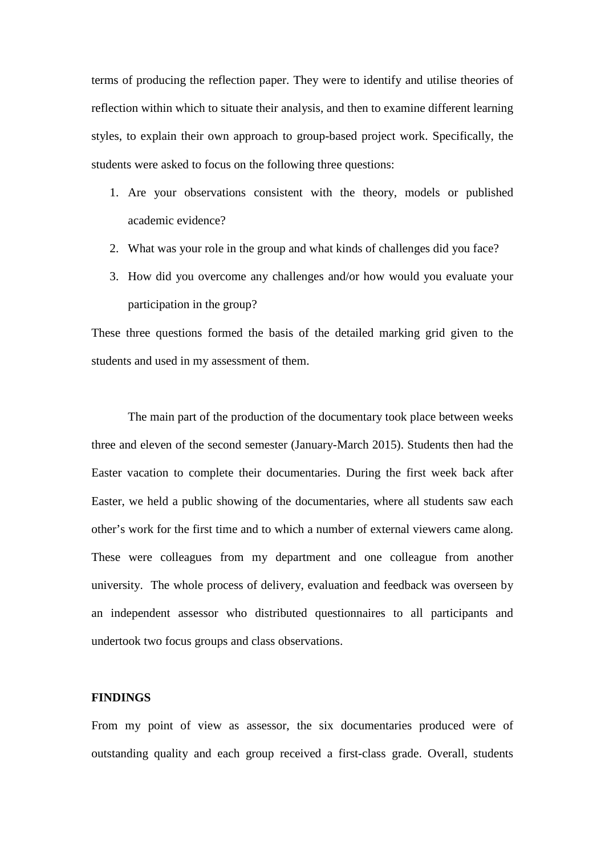terms of producing the reflection paper. They were to identify and utilise theories of reflection within which to situate their analysis, and then to examine different learning styles, to explain their own approach to group-based project work. Specifically, the students were asked to focus on the following three questions:

- 1. Are your observations consistent with the theory, models or published academic evidence?
- 2. What was your role in the group and what kinds of challenges did you face?
- 3. How did you overcome any challenges and/or how would you evaluate your participation in the group?

These three questions formed the basis of the detailed marking grid given to the students and used in my assessment of them.

The main part of the production of the documentary took place between weeks three and eleven of the second semester (January-March 2015). Students then had the Easter vacation to complete their documentaries. During the first week back after Easter, we held a public showing of the documentaries, where all students saw each other's work for the first time and to which a number of external viewers came along. These were colleagues from my department and one colleague from another university. The whole process of delivery, evaluation and feedback was overseen by an independent assessor who distributed questionnaires to all participants and undertook two focus groups and class observations.

### **FINDINGS**

From my point of view as assessor, the six documentaries produced were of outstanding quality and each group received a first-class grade. Overall, students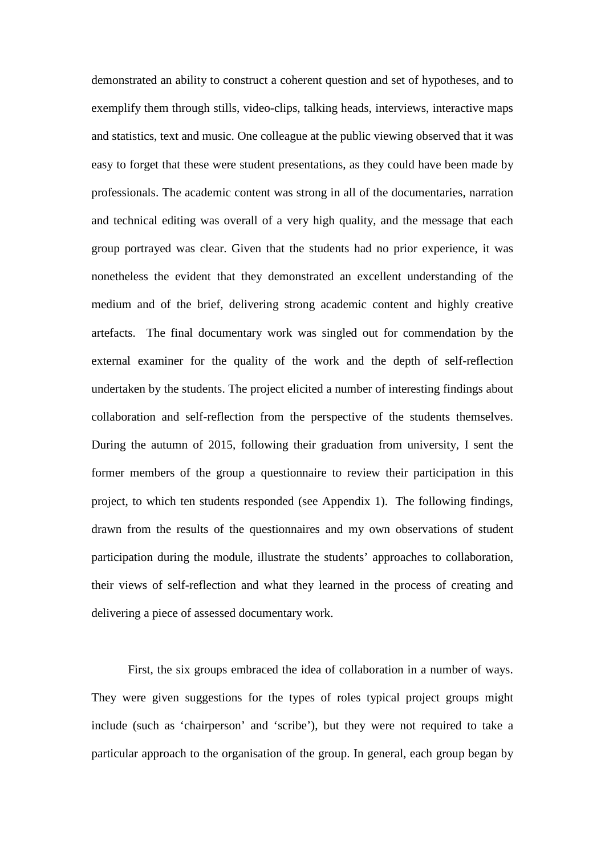demonstrated an ability to construct a coherent question and set of hypotheses, and to exemplify them through stills, video-clips, talking heads, interviews, interactive maps and statistics, text and music. One colleague at the public viewing observed that it was easy to forget that these were student presentations, as they could have been made by professionals. The academic content was strong in all of the documentaries, narration and technical editing was overall of a very high quality, and the message that each group portrayed was clear. Given that the students had no prior experience, it was nonetheless the evident that they demonstrated an excellent understanding of the medium and of the brief, delivering strong academic content and highly creative artefacts. The final documentary work was singled out for commendation by the external examiner for the quality of the work and the depth of self-reflection undertaken by the students. The project elicited a number of interesting findings about collaboration and self-reflection from the perspective of the students themselves. During the autumn of 2015, following their graduation from university, I sent the former members of the group a questionnaire to review their participation in this project, to which ten students responded (see Appendix 1). The following findings, drawn from the results of the questionnaires and my own observations of student participation during the module, illustrate the students' approaches to collaboration, their views of self-reflection and what they learned in the process of creating and delivering a piece of assessed documentary work.

First, the six groups embraced the idea of collaboration in a number of ways. They were given suggestions for the types of roles typical project groups might include (such as 'chairperson' and 'scribe'), but they were not required to take a particular approach to the organisation of the group. In general, each group began by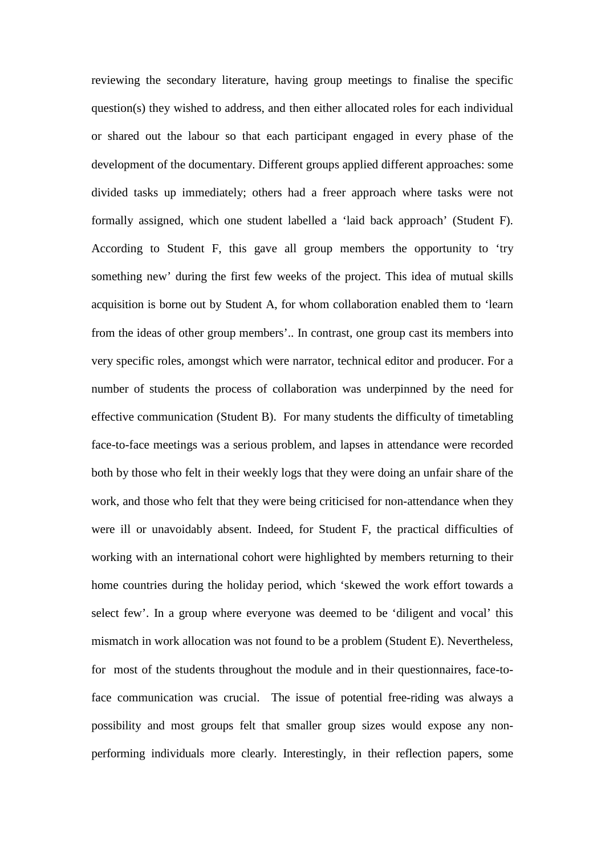reviewing the secondary literature, having group meetings to finalise the specific question(s) they wished to address, and then either allocated roles for each individual or shared out the labour so that each participant engaged in every phase of the development of the documentary. Different groups applied different approaches: some divided tasks up immediately; others had a freer approach where tasks were not formally assigned, which one student labelled a 'laid back approach' (Student F). According to Student F, this gave all group members the opportunity to 'try something new' during the first few weeks of the project. This idea of mutual skills acquisition is borne out by Student A, for whom collaboration enabled them to 'learn from the ideas of other group members'.. In contrast, one group cast its members into very specific roles, amongst which were narrator, technical editor and producer. For a number of students the process of collaboration was underpinned by the need for effective communication (Student B). For many students the difficulty of timetabling face-to-face meetings was a serious problem, and lapses in attendance were recorded both by those who felt in their weekly logs that they were doing an unfair share of the work, and those who felt that they were being criticised for non-attendance when they were ill or unavoidably absent. Indeed, for Student F, the practical difficulties of working with an international cohort were highlighted by members returning to their home countries during the holiday period, which 'skewed the work effort towards a select few'. In a group where everyone was deemed to be 'diligent and vocal' this mismatch in work allocation was not found to be a problem (Student E). Nevertheless, for most of the students throughout the module and in their questionnaires, face-toface communication was crucial. The issue of potential free-riding was always a possibility and most groups felt that smaller group sizes would expose any nonperforming individuals more clearly. Interestingly, in their reflection papers, some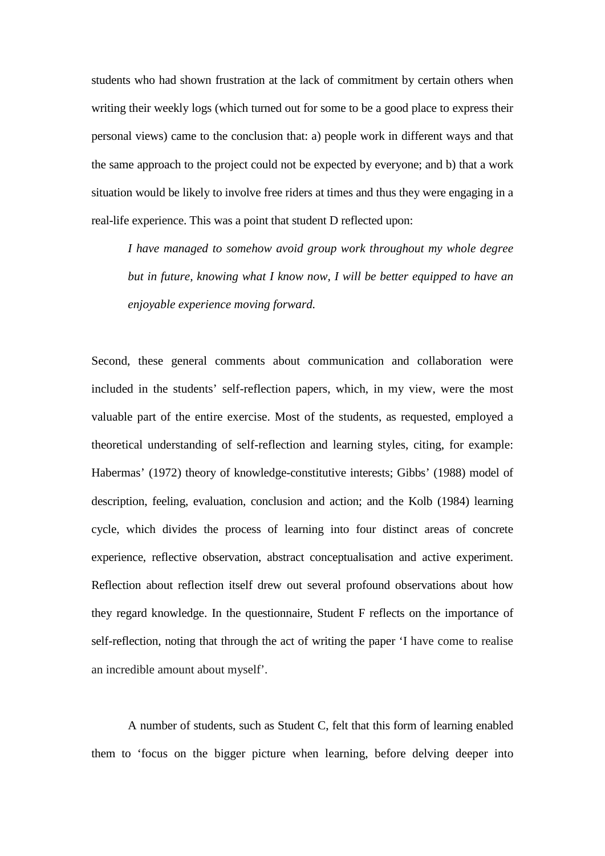students who had shown frustration at the lack of commitment by certain others when writing their weekly logs (which turned out for some to be a good place to express their personal views) came to the conclusion that: a) people work in different ways and that the same approach to the project could not be expected by everyone; and b) that a work situation would be likely to involve free riders at times and thus they were engaging in a real-life experience. This was a point that student D reflected upon:

*I have managed to somehow avoid group work throughout my whole degree but in future, knowing what I know now, I will be better equipped to have an enjoyable experience moving forward.*

Second, these general comments about communication and collaboration were included in the students' self-reflection papers, which, in my view, were the most valuable part of the entire exercise. Most of the students, as requested, employed a theoretical understanding of self-reflection and learning styles, citing, for example: Habermas' (1972) theory of knowledge-constitutive interests; Gibbs' (1988) model of description, feeling, evaluation, conclusion and action; and the Kolb (1984) learning cycle, which divides the process of learning into four distinct areas of concrete experience, reflective observation, abstract conceptualisation and active experiment. Reflection about reflection itself drew out several profound observations about how they regard knowledge. In the questionnaire, Student F reflects on the importance of self-reflection, noting that through the act of writing the paper 'I have come to realise an incredible amount about myself'.

A number of students, such as Student C, felt that this form of learning enabled them to 'focus on the bigger picture when learning, before delving deeper into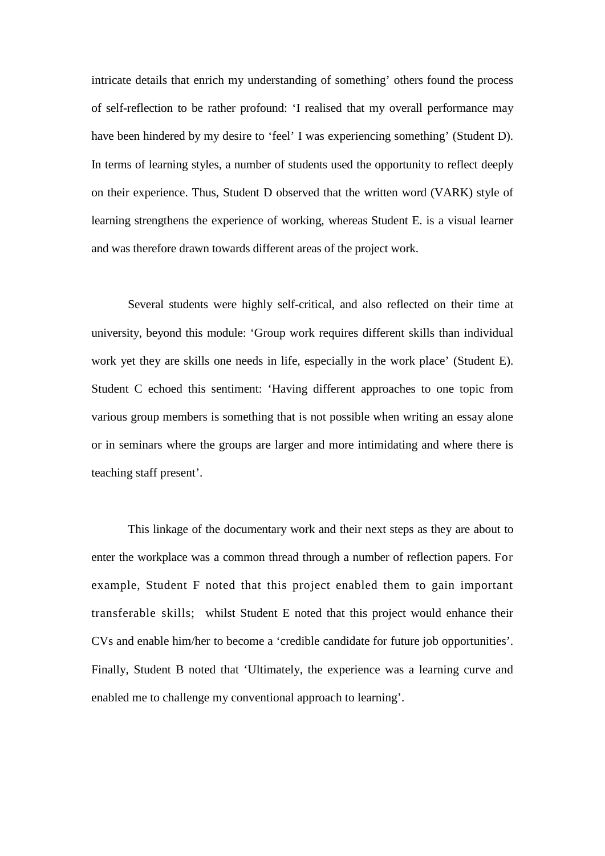intricate details that enrich my understanding of something' others found the process of self-reflection to be rather profound: 'I realised that my overall performance may have been hindered by my desire to 'feel' I was experiencing something' (Student D). In terms of learning styles, a number of students used the opportunity to reflect deeply on their experience. Thus, Student D observed that the written word (VARK) style of learning strengthens the experience of working, whereas Student E. is a visual learner and was therefore drawn towards different areas of the project work.

Several students were highly self-critical, and also reflected on their time at university, beyond this module: 'Group work requires different skills than individual work yet they are skills one needs in life, especially in the work place' (Student E). Student C echoed this sentiment: 'Having different approaches to one topic from various group members is something that is not possible when writing an essay alone or in seminars where the groups are larger and more intimidating and where there is teaching staff present'.

This linkage of the documentary work and their next steps as they are about to enter the workplace was a common thread through a number of reflection papers. For example, Student F noted that this project enabled them to gain important transferable skills; whilst Student E noted that this project would enhance their CVs and enable him/her to become a 'credible candidate for future job opportunities'. Finally, Student B noted that 'Ultimately, the experience was a learning curve and enabled me to challenge my conventional approach to learning'.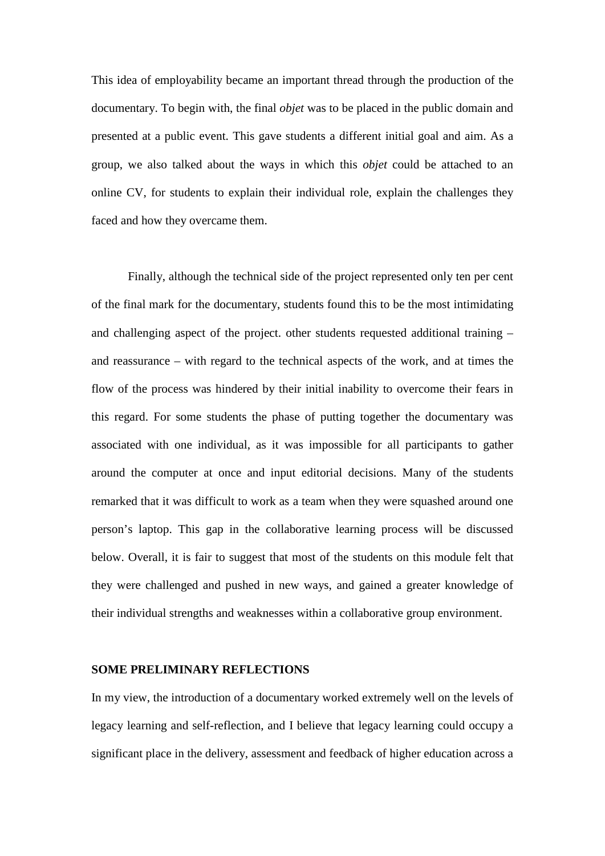This idea of employability became an important thread through the production of the documentary. To begin with, the final *objet* was to be placed in the public domain and presented at a public event. This gave students a different initial goal and aim. As a group, we also talked about the ways in which this *objet* could be attached to an online CV, for students to explain their individual role, explain the challenges they faced and how they overcame them.

Finally, although the technical side of the project represented only ten per cent of the final mark for the documentary, students found this to be the most intimidating and challenging aspect of the project. other students requested additional training – and reassurance – with regard to the technical aspects of the work, and at times the flow of the process was hindered by their initial inability to overcome their fears in this regard. For some students the phase of putting together the documentary was associated with one individual, as it was impossible for all participants to gather around the computer at once and input editorial decisions. Many of the students remarked that it was difficult to work as a team when they were squashed around one person's laptop. This gap in the collaborative learning process will be discussed below. Overall, it is fair to suggest that most of the students on this module felt that they were challenged and pushed in new ways, and gained a greater knowledge of their individual strengths and weaknesses within a collaborative group environment.

#### **SOME PRELIMINARY REFLECTIONS**

In my view, the introduction of a documentary worked extremely well on the levels of legacy learning and self-reflection, and I believe that legacy learning could occupy a significant place in the delivery, assessment and feedback of higher education across a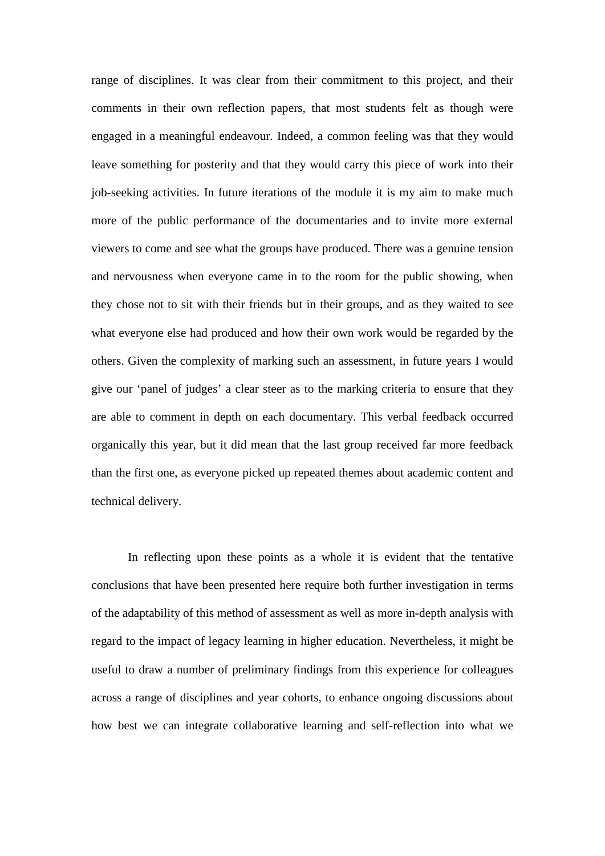range of disciplines. It was clear from their commitment to this project, and their comments in their own reflection papers, that most students felt as though were engaged in a meaningful endeavour. Indeed, a common feeling was that they would leave something for posterity and that they would carry this piece of work into their job-seeking activities. In future iterations of the module it is my aim to make much more of the public performance of the documentaries and to invite more external viewers to come and see what the groups have produced. There was a genuine tension and nervousness when everyone came in to the room for the public showing, when they chose not to sit with their friends but in their groups, and as they waited to see what everyone else had produced and how their own work would be regarded by the others. Given the complexity of marking such an assessment, in future years I would give our 'panel of judges' a clear steer as to the marking criteria to ensure that they are able to comment in depth on each documentary. This verbal feedback occurred organically this year, but it did mean that the last group received far more feedback than the first one, as everyone picked up repeated themes about academic content and technical delivery.

In reflecting upon these points as a whole it is evident that the tentative conclusions that have been presented here require both further investigation in terms of the adaptability of this method of assessment as well as more in-depth analysis with regard to the impact of legacy learning in higher education. Nevertheless, it might be useful to draw a number of preliminary findings from this experience for colleagues across a range of disciplines and year cohorts, to enhance ongoing discussions about how best we can integrate collaborative learning and self-reflection into what we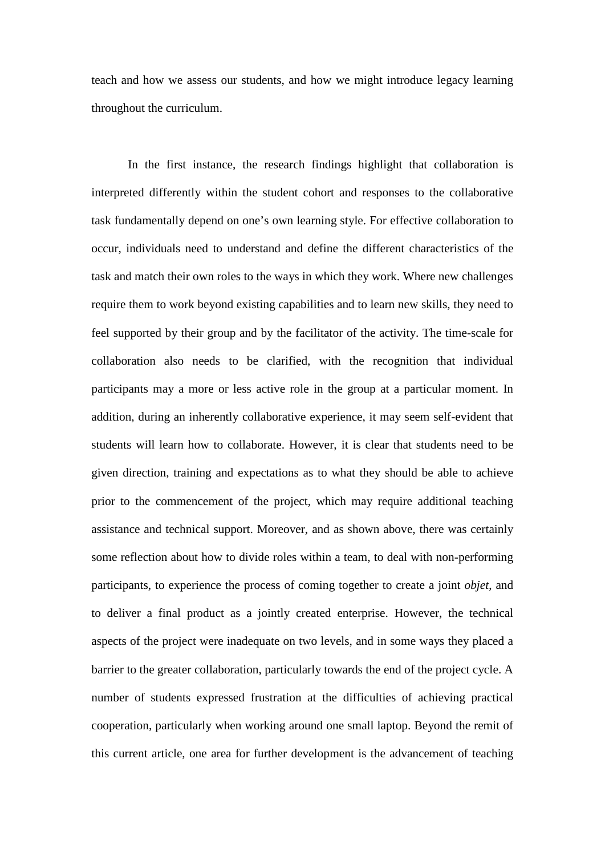teach and how we assess our students, and how we might introduce legacy learning throughout the curriculum.

In the first instance, the research findings highlight that collaboration is interpreted differently within the student cohort and responses to the collaborative task fundamentally depend on one's own learning style. For effective collaboration to occur, individuals need to understand and define the different characteristics of the task and match their own roles to the ways in which they work. Where new challenges require them to work beyond existing capabilities and to learn new skills, they need to feel supported by their group and by the facilitator of the activity. The time-scale for collaboration also needs to be clarified, with the recognition that individual participants may a more or less active role in the group at a particular moment. In addition, during an inherently collaborative experience, it may seem self-evident that students will learn how to collaborate. However, it is clear that students need to be given direction, training and expectations as to what they should be able to achieve prior to the commencement of the project, which may require additional teaching assistance and technical support. Moreover, and as shown above, there was certainly some reflection about how to divide roles within a team, to deal with non-performing participants, to experience the process of coming together to create a joint *objet*, and to deliver a final product as a jointly created enterprise. However, the technical aspects of the project were inadequate on two levels, and in some ways they placed a barrier to the greater collaboration, particularly towards the end of the project cycle. A number of students expressed frustration at the difficulties of achieving practical cooperation, particularly when working around one small laptop. Beyond the remit of this current article, one area for further development is the advancement of teaching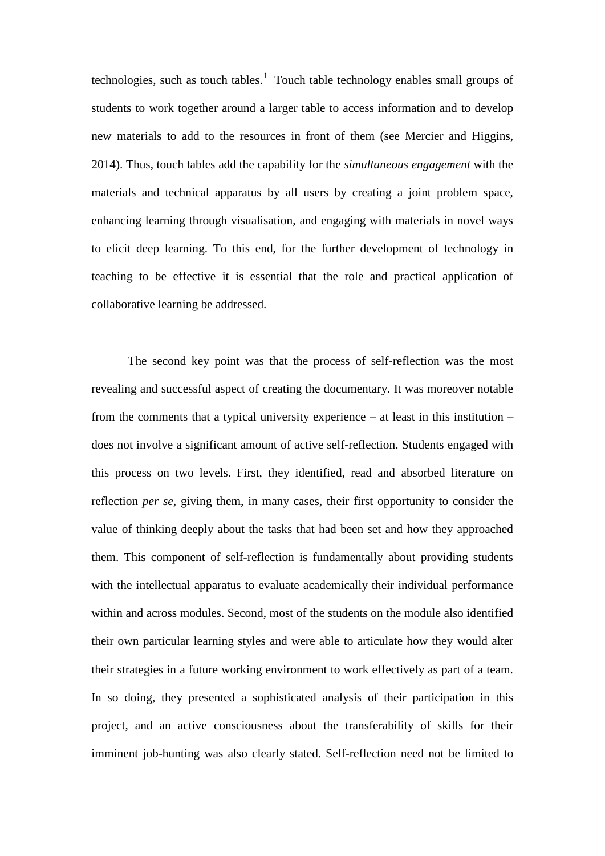technologies, such as touch tables.<sup>[1](#page-26-0)</sup> Touch table technology enables small groups of students to work together around a larger table to access information and to develop new materials to add to the resources in front of them (see Mercier and Higgins, 2014). Thus, touch tables add the capability for the *simultaneous engagement* with the materials and technical apparatus by all users by creating a joint problem space, enhancing learning through visualisation, and engaging with materials in novel ways to elicit deep learning. To this end, for the further development of technology in teaching to be effective it is essential that the role and practical application of collaborative learning be addressed.

The second key point was that the process of self-reflection was the most revealing and successful aspect of creating the documentary. It was moreover notable from the comments that a typical university experience – at least in this institution – does not involve a significant amount of active self-reflection. Students engaged with this process on two levels. First, they identified, read and absorbed literature on reflection *per se*, giving them, in many cases, their first opportunity to consider the value of thinking deeply about the tasks that had been set and how they approached them. This component of self-reflection is fundamentally about providing students with the intellectual apparatus to evaluate academically their individual performance within and across modules. Second, most of the students on the module also identified their own particular learning styles and were able to articulate how they would alter their strategies in a future working environment to work effectively as part of a team. In so doing, they presented a sophisticated analysis of their participation in this project, and an active consciousness about the transferability of skills for their imminent job-hunting was also clearly stated. Self-reflection need not be limited to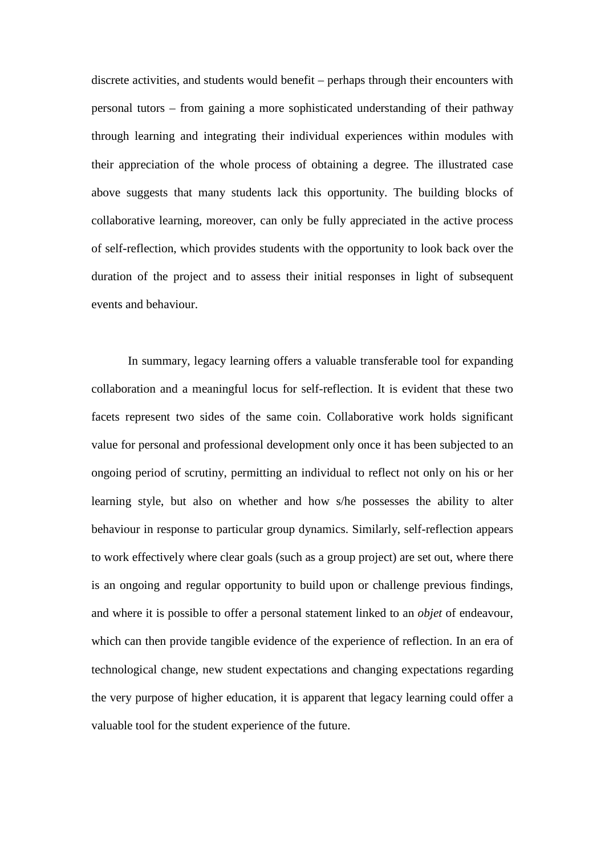discrete activities, and students would benefit – perhaps through their encounters with personal tutors – from gaining a more sophisticated understanding of their pathway through learning and integrating their individual experiences within modules with their appreciation of the whole process of obtaining a degree. The illustrated case above suggests that many students lack this opportunity. The building blocks of collaborative learning, moreover, can only be fully appreciated in the active process of self-reflection, which provides students with the opportunity to look back over the duration of the project and to assess their initial responses in light of subsequent events and behaviour.

In summary, legacy learning offers a valuable transferable tool for expanding collaboration and a meaningful locus for self-reflection. It is evident that these two facets represent two sides of the same coin. Collaborative work holds significant value for personal and professional development only once it has been subjected to an ongoing period of scrutiny, permitting an individual to reflect not only on his or her learning style, but also on whether and how s/he possesses the ability to alter behaviour in response to particular group dynamics. Similarly, self-reflection appears to work effectively where clear goals (such as a group project) are set out, where there is an ongoing and regular opportunity to build upon or challenge previous findings, and where it is possible to offer a personal statement linked to an *objet* of endeavour, which can then provide tangible evidence of the experience of reflection. In an era of technological change, new student expectations and changing expectations regarding the very purpose of higher education, it is apparent that legacy learning could offer a valuable tool for the student experience of the future.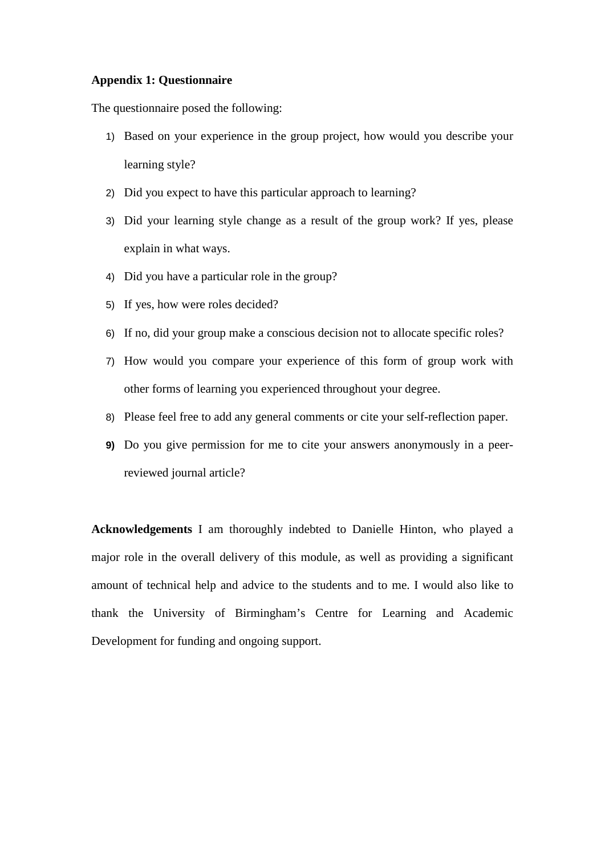## **Appendix 1: Questionnaire**

The questionnaire posed the following:

- 1) Based on your experience in the group project, how would you describe your learning style?
- 2) Did you expect to have this particular approach to learning?
- 3) Did your learning style change as a result of the group work? If yes, please explain in what ways.
- 4) Did you have a particular role in the group?
- 5) If yes, how were roles decided?
- 6) If no, did your group make a conscious decision not to allocate specific roles?
- 7) How would you compare your experience of this form of group work with other forms of learning you experienced throughout your degree.
- 8) Please feel free to add any general comments or cite your self-reflection paper.
- **9)** Do you give permission for me to cite your answers anonymously in a peerreviewed journal article?

**Acknowledgements** I am thoroughly indebted to Danielle Hinton, who played a major role in the overall delivery of this module, as well as providing a significant amount of technical help and advice to the students and to me. I would also like to thank the University of Birmingham's Centre for Learning and Academic Development for funding and ongoing support.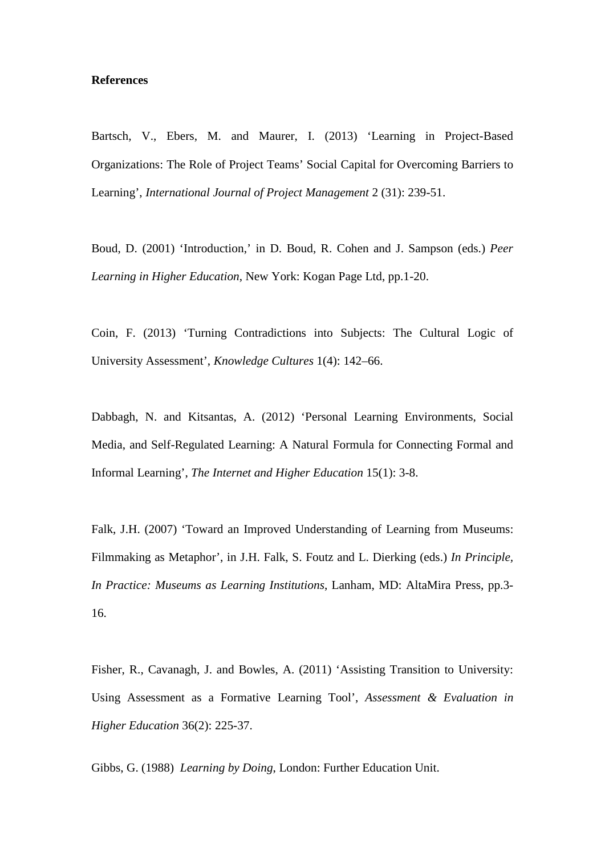#### **References**

Bartsch, V., Ebers, M. and Maurer, I. (2013) 'Learning in Project-Based Organizations: The Role of Project Teams' Social Capital for Overcoming Barriers to Learning', *International Journal of Project Management* 2 (31): 239-51.

Boud, D. (2001) 'Introduction,' in D. Boud, R. Cohen and J. Sampson (eds.) *Peer Learning in Higher Education*, New York: Kogan Page Ltd, pp.1-20.

Coin, F. (2013) 'Turning Contradictions into Subjects: The Cultural Logic of University Assessment', *Knowledge Cultures* 1(4): 142–66.

Dabbagh, N. and Kitsantas, A. (2012) 'Personal Learning Environments, Social Media, and Self-Regulated Learning: A Natural Formula for Connecting Formal and Informal Learning', *The Internet and Higher Education* 15(1): 3-8.

Falk, J.H. (2007) 'Toward an Improved Understanding of Learning from Museums: Filmmaking as Metaphor', in J.H. Falk, S. Foutz and L. Dierking (eds.) *In Principle, In Practice: Museums as Learning Institutions*, Lanham, MD: AltaMira Press, pp.3- 16.

Fisher, R., Cavanagh, J. and Bowles, A. (2011) 'Assisting Transition to University: Using Assessment as a Formative Learning Tool', *Assessment & Evaluation in Higher Education* 36(2): 225-37.

Gibbs, G. (1988) *Learning by Doing*, London: Further Education Unit.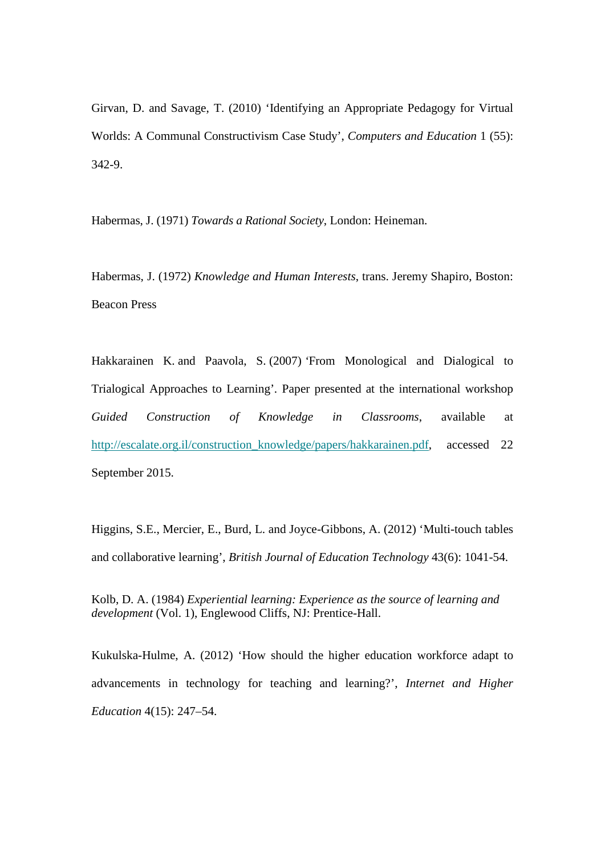Girvan, D. and Savage, T. (2010) 'Identifying an Appropriate Pedagogy for Virtual Worlds: A Communal Constructivism Case Study', *Computers and Education* 1 (55): 342-9.

Habermas, J. (1971) *Towards a Rational Society*, London: Heineman.

Habermas, J. (1972) *Knowledge and Human Interests*, trans. Jeremy Shapiro, Boston: Beacon Press

Hakkarainen K. and Paavola, S. (2007) *'*From Monological and Dialogical to Trialogical Approaches to Learning'*.* Paper presented at the international workshop *Guided Construction of Knowledge in Classrooms*, available at [http://escalate.org.il/construction\\_knowledge/papers/hakkarainen.pdf,](http://escalate.org.il/construction_knowledge/papers/hakkarainen.pdf) accessed 22 September 2015.

Higgins, S.E., Mercier, E., Burd, L. and Joyce-Gibbons, A. (2012) 'Multi-touch tables and collaborative learning', *British Journal of Education Technology* 43(6): 1041-54.

Kolb, D. A. (1984) *Experiential learning: Experience as the source of learning and development* (Vol. 1), Englewood Cliffs, NJ: Prentice-Hall.

Kukulska-Hulme, A. (2012) 'How should the higher education workforce adapt to advancements in technology for teaching and learning?', *Internet and Higher Education* 4(15): 247–54.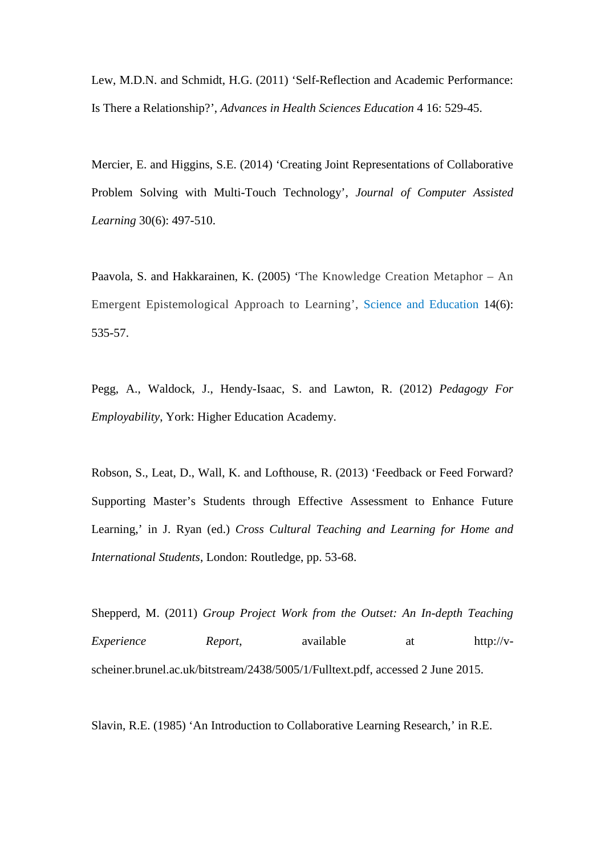Lew, M.D.N. and Schmidt, H.G. (2011) 'Self-Reflection and Academic Performance: Is There a Relationship?', *Advances in Health Sciences Education* 4 16: 529-45.

Mercier, E. and Higgins, S.E. (2014) 'Creating Joint Representations of Collaborative Problem Solving with Multi-Touch Technology', *Journal of Computer Assisted Learning* 30(6): 497-510.

Paavola, S. and Hakkarainen, K. (2005) 'The Knowledge Creation Metaphor – An Emergent Epistemological Approach to Learning', Science and [Education](http://link.springer.com/journal/11191) 14(6): 535-57.

Pegg, A., Waldock, J., Hendy-Isaac, S. and Lawton, R. (2012) *Pedagogy For Employability*, York: Higher Education Academy.

Robson, S., Leat, D., Wall, K. and Lofthouse, R. (2013) 'Feedback or Feed Forward? Supporting Master's Students through Effective Assessment to Enhance Future Learning,' in J. Ryan (ed.) *Cross Cultural Teaching and Learning for Home and International Students*, London: Routledge, pp. 53-68.

Shepperd, M. (2011) *Group Project Work from the Outset: An In-depth Teaching Experience Report*, available at http://vscheiner.brunel.ac.uk/bitstream/2438/5005/1/Fulltext.pdf, accessed 2 June 2015.

Slavin, R.E. (1985) 'An Introduction to Collaborative Learning Research,' in R.E.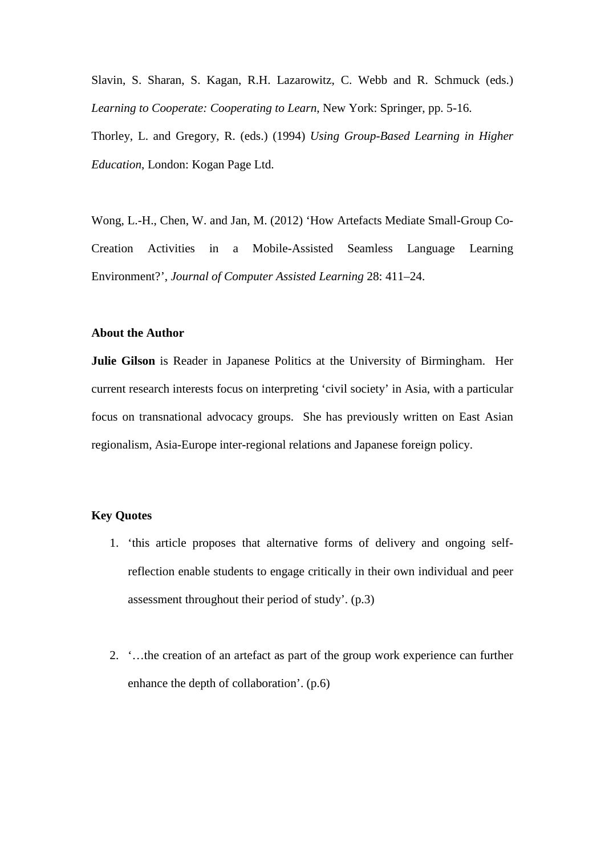Slavin, S. Sharan, S. Kagan, R.H. Lazarowitz, C. Webb and R. Schmuck (eds.) *Learning to Cooperate: Cooperating to Learn*, New York: Springer, pp. 5-16.

Thorley, L. and Gregory, R. (eds.) (1994) *Using Group-Based Learning in Higher Education*, London: Kogan Page Ltd.

Wong, L.-H., Chen, W. and Jan, M. (2012) 'How Artefacts Mediate Small-Group Co-Creation Activities in a Mobile-Assisted Seamless Language Learning Environment?', *Journal of Computer Assisted Learning* 28: 411–24.

#### **About the Author**

**Julie Gilson** is Reader in Japanese Politics at the University of Birmingham. Her current research interests focus on interpreting 'civil society' in Asia, with a particular focus on transnational advocacy groups. She has previously written on East Asian regionalism, Asia-Europe inter-regional relations and Japanese foreign policy.

#### **Key Quotes**

- 1. 'this article proposes that alternative forms of delivery and ongoing selfreflection enable students to engage critically in their own individual and peer assessment throughout their period of study'. (p.3)
- 2. '…the creation of an artefact as part of the group work experience can further enhance the depth of collaboration'. (p.6)